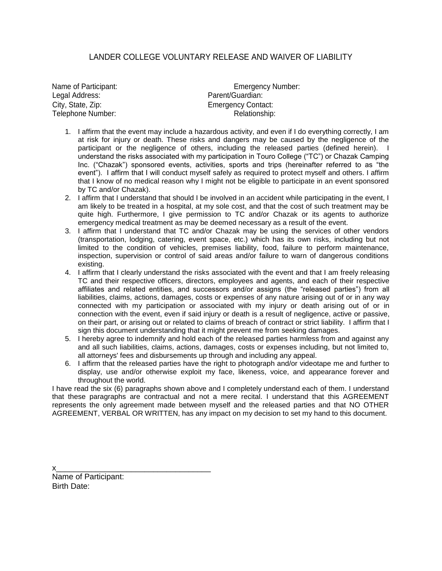## LANDER COLLEGE VOLUNTARY RELEASE AND WAIVER OF LIABILITY

Legal Address: Parent/Guardian: City, State, Zip: Emergency Contact: Telephone Number: Telephone Number:

Name of Participant: Emergency Number:

- 1. I affirm that the event may include a hazardous activity, and even if I do everything correctly, I am at risk for injury or death. These risks and dangers may be caused by the negligence of the participant or the negligence of others, including the released parties (defined herein). I understand the risks associated with my participation in Touro College ("TC") or Chazak Camping Inc. ("Chazak") sponsored events, activities, sports and trips (hereinafter referred to as "the event"). I affirm that I will conduct myself safely as required to protect myself and others. I affirm that I know of no medical reason why I might not be eligible to participate in an event sponsored by TC and/or Chazak).
- 2. I affirm that I understand that should I be involved in an accident while participating in the event, I am likely to be treated in a hospital, at my sole cost, and that the cost of such treatment may be quite high. Furthermore, I give permission to TC and/or Chazak or its agents to authorize emergency medical treatment as may be deemed necessary as a result of the event.
- 3. I affirm that I understand that TC and/or Chazak may be using the services of other vendors (transportation, lodging, catering, event space, etc.) which has its own risks, including but not limited to the condition of vehicles, premises liability, food, failure to perform maintenance, inspection, supervision or control of said areas and/or failure to warn of dangerous conditions existing.
- 4. I affirm that I clearly understand the risks associated with the event and that I am freely releasing TC and their respective officers, directors, employees and agents, and each of their respective affiliates and related entities, and successors and/or assigns (the "released parties") from all liabilities, claims, actions, damages, costs or expenses of any nature arising out of or in any way connected with my participation or associated with my injury or death arising out of or in connection with the event, even if said injury or death is a result of negligence, active or passive, on their part, or arising out or related to claims of breach of contract or strict liability. I affirm that I sign this document understanding that it might prevent me from seeking damages.
- 5. I hereby agree to indemnify and hold each of the released parties harmless from and against any and all such liabilities, claims, actions, damages, costs or expenses including, but not limited to, all attorneys' fees and disbursements up through and including any appeal.
- 6. I affirm that the released parties have the right to photograph and/or videotape me and further to display, use and/or otherwise exploit my face, likeness, voice, and appearance forever and throughout the world.

I have read the six (6) paragraphs shown above and I completely understand each of them. I understand that these paragraphs are contractual and not a mere recital. I understand that this AGREEMENT represents the only agreement made between myself and the released parties and that NO OTHER AGREEMENT, VERBAL OR WRITTEN, has any impact on my decision to set my hand to this document.

x\_\_\_\_\_\_\_\_\_\_\_\_\_\_\_\_\_\_\_\_\_\_\_\_\_\_\_\_\_\_\_\_\_\_\_ Name of Participant: Birth Date: